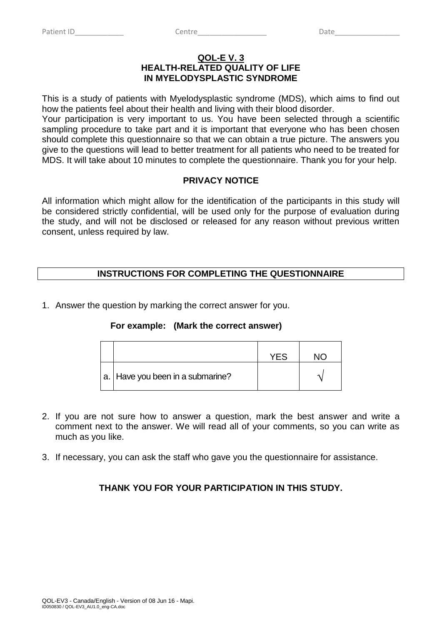### **QOL-E V. 3 HEALTH-RELATED QUALITY OF LIFE IN MYELODYSPLASTIC SYNDROME**

This is a study of patients with Myelodysplastic syndrome (MDS), which aims to find out how the patients feel about their health and living with their blood disorder.

Your participation is very important to us. You have been selected through a scientific sampling procedure to take part and it is important that everyone who has been chosen should complete this questionnaire so that we can obtain a true picture. The answers you give to the questions will lead to better treatment for all patients who need to be treated for MDS. It will take about 10 minutes to complete the questionnaire. Thank you for your help.

# **PRIVACY NOTICE**

All information which might allow for the identification of the participants in this study will be considered strictly confidential, will be used only for the purpose of evaluation during the study, and will not be disclosed or released for any reason without previous written consent, unless required by law.

# **INSTRUCTIONS FOR COMPLETING THE QUESTIONNAIRE**

1. Answer the question by marking the correct answer for you.

### **For example: (Mark the correct answer)**

|                                    | <b>YF.S</b> | חוח |
|------------------------------------|-------------|-----|
| a.   Have you been in a submarine? |             |     |

- 2. If you are not sure how to answer a question, mark the best answer and write a comment next to the answer. We will read all of your comments, so you can write as much as you like.
- 3. If necessary, you can ask the staff who gave you the questionnaire for assistance.

# **THANK YOU FOR YOUR PARTICIPATION IN THIS STUDY.**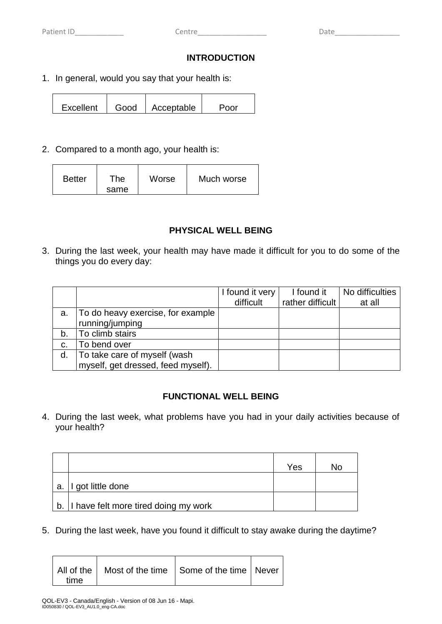## **INTRODUCTION**

1. In general, would you say that your health is:

Excellent | Good | Acceptable | Poor

2. Compared to a month ago, your health is:

| <b>Better</b> | The<br>same | Worse | Much worse |  |
|---------------|-------------|-------|------------|--|
|---------------|-------------|-------|------------|--|

## **PHYSICAL WELL BEING**

3. During the last week, your health may have made it difficult for you to do some of the things you do every day:

|    |                                    | I found it very | I found it       | No difficulties |
|----|------------------------------------|-----------------|------------------|-----------------|
|    |                                    | difficult       | rather difficult | at all          |
| a. | To do heavy exercise, for example  |                 |                  |                 |
|    | running/jumping                    |                 |                  |                 |
| b. | To climb stairs                    |                 |                  |                 |
| C. | To bend over                       |                 |                  |                 |
| d. | To take care of myself (wash       |                 |                  |                 |
|    | myself, get dressed, feed myself). |                 |                  |                 |

# **FUNCTIONAL WELL BEING**

4. During the last week, what problems have you had in your daily activities because of your health?

|    |                                         | Yes | N٥ |
|----|-----------------------------------------|-----|----|
| a. | I got little done                       |     |    |
|    | b. I have felt more tired doing my work |     |    |

5. During the last week, have you found it difficult to stay awake during the daytime?

|      | All of the   Most of the time   Some of the time   Never |  |
|------|----------------------------------------------------------|--|
| time |                                                          |  |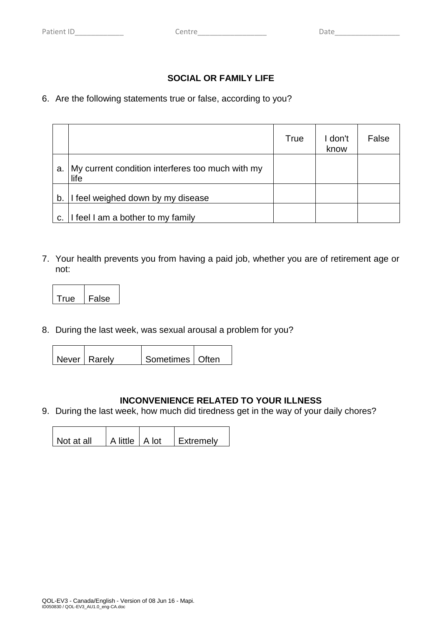# **SOCIAL OR FAMILY LIFE**

## 6. Are the following statements true or false, according to you?

|    |                                                          | <b>True</b> | I don't<br>know | False |
|----|----------------------------------------------------------|-------------|-----------------|-------|
| a. | My current condition interferes too much with my<br>life |             |                 |       |
| b. | feel weighed down by my disease                          |             |                 |       |
| C. | I feel I am a bother to my family                        |             |                 |       |

7. Your health prevents you from having a paid job, whether you are of retirement age or not:

| ≏   | lse |
|-----|-----|
| . . | - - |

8. During the last week, was sexual arousal a problem for you?

 $\mathbf{\tau}$ 

| Sometimes   Often<br>Never   Rarelv |
|-------------------------------------|
|-------------------------------------|

### **INCONVENIENCE RELATED TO YOUR ILLNESS**

9. During the last week, how much did tiredness get in the way of your daily chores?

| l Not at all | A little   A lot | <b>LExtremely</b> |
|--------------|------------------|-------------------|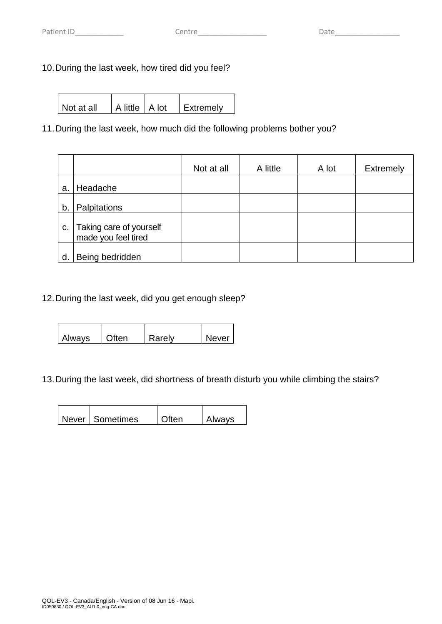# 10.During the last week, how tired did you feel?

|  | l Not at all | A little A lot |  | <b>LExtremely</b> |
|--|--------------|----------------|--|-------------------|
|--|--------------|----------------|--|-------------------|

# 11.During the last week, how much did the following problems bother you?

|    |                                                | Not at all | A little | A lot | <b>Extremely</b> |
|----|------------------------------------------------|------------|----------|-------|------------------|
| a. | Headache                                       |            |          |       |                  |
| b. | Palpitations                                   |            |          |       |                  |
| C. | Taking care of yourself<br>made you feel tired |            |          |       |                  |
| d. | Being bedridden                                |            |          |       |                  |

## 12.During the last week, did you get enough sleep?

| <b>Always</b> | l Often | Rarely | <b>Never</b> |
|---------------|---------|--------|--------------|

### 13.During the last week, did shortness of breath disturb you while climbing the stairs?

| Never Sometimes | Often | <b>Always</b> |
|-----------------|-------|---------------|